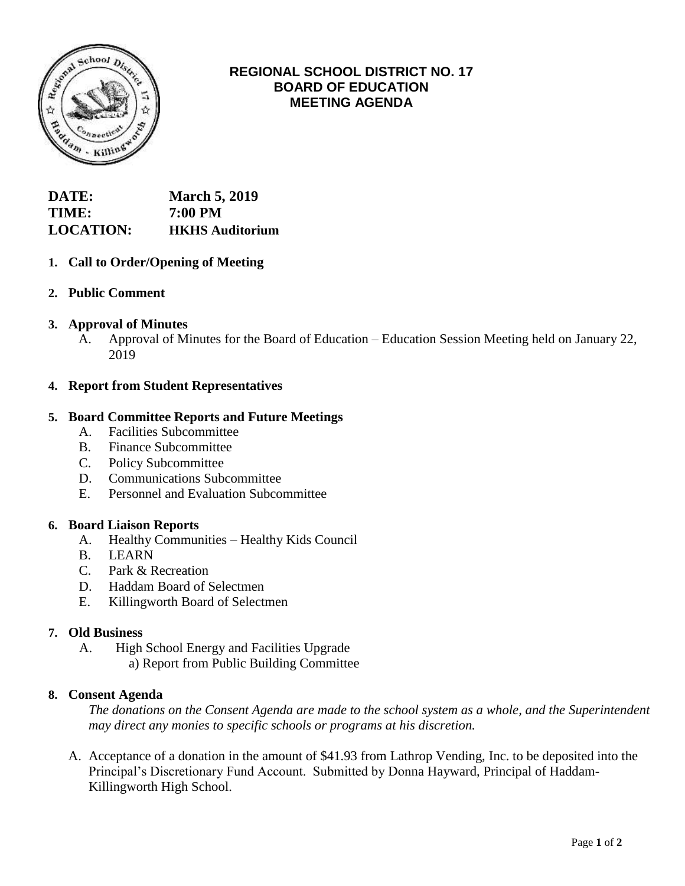

# **REGIONAL SCHOOL DISTRICT NO. 17 BOARD OF EDUCATION MEETING AGENDA**

| <b>DATE:</b>     | <b>March 5, 2019</b>   |
|------------------|------------------------|
| TIME:            | 7:00 PM                |
| <b>LOCATION:</b> | <b>HKHS</b> Auditorium |

## **1. Call to Order/Opening of Meeting**

**2. Public Comment**

### **3. Approval of Minutes**

A. Approval of Minutes for the Board of Education – Education Session Meeting held on January 22, 2019

#### **4. Report from Student Representatives**

### **5. Board Committee Reports and Future Meetings**

- A. Facilities Subcommittee
- B. Finance Subcommittee
- C. Policy Subcommittee
- D. Communications Subcommittee
- E. Personnel and Evaluation Subcommittee

#### **6. Board Liaison Reports**

- A. Healthy Communities Healthy Kids Council
- B. LEARN
- C. Park & Recreation
- D. Haddam Board of Selectmen
- E. Killingworth Board of Selectmen

#### **7. Old Business**

 A. High School Energy and Facilities Upgrade a) Report from Public Building Committee

#### **8. Consent Agenda**

*The donations on the Consent Agenda are made to the school system as a whole, and the Superintendent may direct any monies to specific schools or programs at his discretion.*

 A. Acceptance of a donation in the amount of \$41.93 from Lathrop Vending, Inc. to be deposited into the Principal's Discretionary Fund Account. Submitted by Donna Hayward, Principal of Haddam-Killingworth High School.